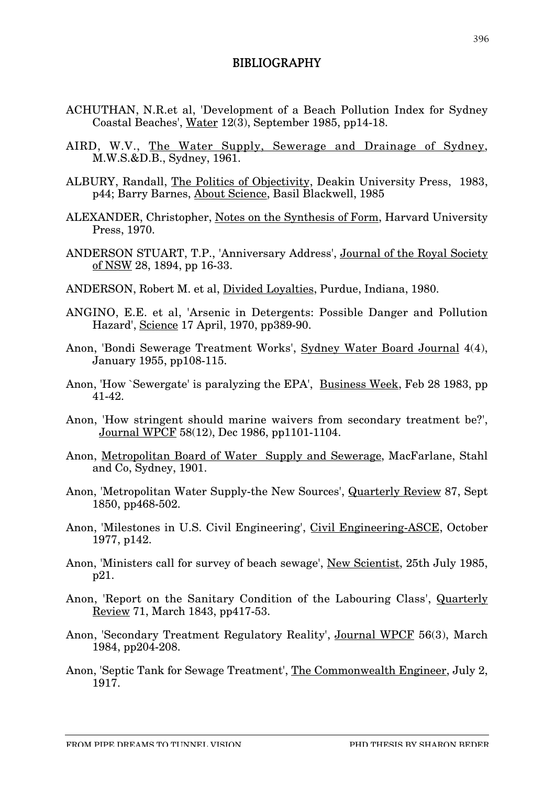## BIBLIOGRAPHY

- ACHUTHAN, N.R.et al, 'Development of a Beach Pollution Index for Sydney Coastal Beaches', Water 12(3), September 1985, pp14-18.
- AIRD, W.V., The Water Supply, Sewerage and Drainage of Sydney, M.W.S.&D.B., Sydney, 1961.
- ALBURY, Randall, The Politics of Objectivity, Deakin University Press, 1983, p44; Barry Barnes, About Science, Basil Blackwell, 1985
- ALEXANDER, Christopher, Notes on the Synthesis of Form, Harvard University Press, 1970.
- ANDERSON STUART, T.P., 'Anniversary Address', Journal of the Royal Society of NSW 28, 1894, pp 16-33.
- ANDERSON, Robert M. et al, Divided Loyalties, Purdue, Indiana, 1980.
- ANGINO, E.E. et al, 'Arsenic in Detergents: Possible Danger and Pollution Hazard', Science 17 April, 1970, pp389-90.
- Anon, 'Bondi Sewerage Treatment Works', Sydney Water Board Journal 4(4), January 1955, pp108-115.
- Anon, 'How `Sewergate' is paralyzing the EPA', Business Week, Feb 28 1983, pp 41-42.
- Anon, 'How stringent should marine waivers from secondary treatment be?', Journal WPCF 58(12), Dec 1986, pp1101-1104.
- Anon, Metropolitan Board of Water Supply and Sewerage, MacFarlane, Stahl and Co, Sydney, 1901.
- Anon, 'Metropolitan Water Supply-the New Sources', Quarterly Review 87, Sept 1850, pp468-502.
- Anon, 'Milestones in U.S. Civil Engineering', Civil Engineering-ASCE, October 1977, p142.
- Anon, 'Ministers call for survey of beach sewage', New Scientist, 25th July 1985, p21.
- Anon, 'Report on the Sanitary Condition of the Labouring Class', Quarterly Review 71, March 1843, pp417-53.
- Anon, 'Secondary Treatment Regulatory Reality', Journal WPCF 56(3), March 1984, pp204-208.
- Anon, 'Septic Tank for Sewage Treatment', The Commonwealth Engineer, July 2, 1917.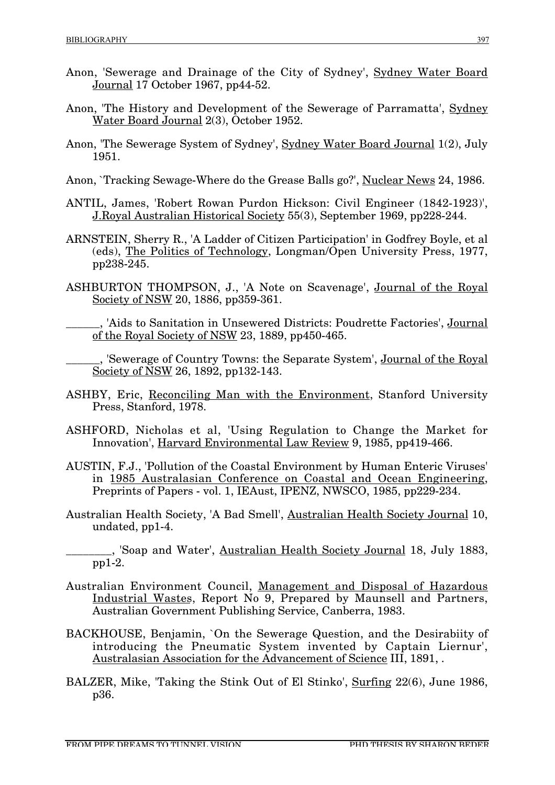- Anon, 'Sewerage and Drainage of the City of Sydney', Sydney Water Board Journal 17 October 1967, pp44-52.
- Anon, 'The History and Development of the Sewerage of Parramatta', Sydney Water Board Journal 2(3), October 1952.
- Anon, 'The Sewerage System of Sydney', Sydney Water Board Journal 1(2), July 1951.
- Anon, `Tracking Sewage-Where do the Grease Balls go?', Nuclear News 24, 1986.
- ANTIL, James, 'Robert Rowan Purdon Hickson: Civil Engineer (1842-1923)', J.Royal Australian Historical Society 55(3), September 1969, pp228-244.
- ARNSTEIN, Sherry R., 'A Ladder of Citizen Participation' in Godfrey Boyle, et al (eds), The Politics of Technology, Longman/Open University Press, 1977, pp238-245.
- ASHBURTON THOMPSON, J., 'A Note on Scavenage', Journal of the Royal Society of NSW 20, 1886, pp359-361.

'Aids to Sanitation in Unsewered Districts: Poudrette Factories', Journal of the Royal Society of NSW 23, 1889, pp450-465.

\_\_\_\_\_\_, 'Sewerage of Country Towns: the Separate System', Journal of the Royal Society of NSW 26, 1892, pp132-143.

- ASHBY, Eric, Reconciling Man with the Environment, Stanford University Press, Stanford, 1978.
- ASHFORD, Nicholas et al, 'Using Regulation to Change the Market for Innovation', Harvard Environmental Law Review 9, 1985, pp419-466.
- AUSTIN, F.J., 'Pollution of the Coastal Environment by Human Enteric Viruses' in 1985 Australasian Conference on Coastal and Ocean Engineering, Preprints of Papers - vol. 1, IEAust, IPENZ, NWSCO, 1985, pp229-234.
- Australian Health Society, 'A Bad Smell', Australian Health Society Journal 10, undated, pp1-4.
	- <sub>\_</sub>, 'Soap and Water', <u>Australian Health Society Journal</u> 18, July 1883, pp1-2.
- Australian Environment Council, Management and Disposal of Hazardous Industrial Wastes, Report No 9, Prepared by Maunsell and Partners, Australian Government Publishing Service, Canberra, 1983.
- BACKHOUSE, Benjamin, `On the Sewerage Question, and the Desirabiity of introducing the Pneumatic System invented by Captain Liernur', Australasian Association for the Advancement of Science III, 1891, .
- BALZER, Mike, 'Taking the Stink Out of El Stinko', Surfing 22(6), June 1986, p36.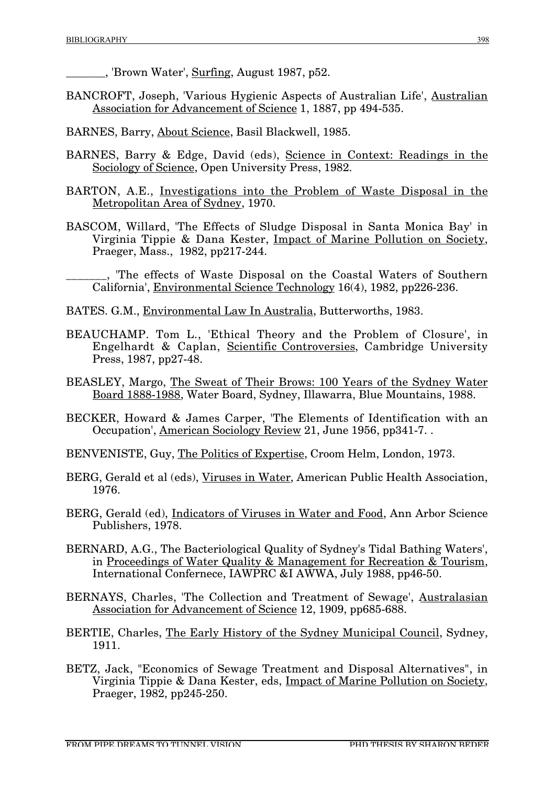\_\_\_\_\_\_\_, 'Brown Water', Surfing, August 1987, p52.

- BANCROFT, Joseph, 'Various Hygienic Aspects of Australian Life', Australian Association for Advancement of Science 1, 1887, pp 494-535.
- BARNES, Barry, About Science, Basil Blackwell, 1985.
- BARNES, Barry & Edge, David (eds), Science in Context: Readings in the Sociology of Science, Open University Press, 1982.
- BARTON, A.E., Investigations into the Problem of Waste Disposal in the Metropolitan Area of Sydney, 1970.
- BASCOM, Willard, 'The Effects of Sludge Disposal in Santa Monica Bay' in Virginia Tippie & Dana Kester, Impact of Marine Pollution on Society, Praeger, Mass., 1982, pp217-244.

The effects of Waste Disposal on the Coastal Waters of Southern California', Environmental Science Technology 16(4), 1982, pp226-236.

- BATES. G.M., Environmental Law In Australia, Butterworths, 1983.
- BEAUCHAMP. Tom L., 'Ethical Theory and the Problem of Closure', in Engelhardt & Caplan, Scientific Controversies, Cambridge University Press, 1987, pp27-48.
- BEASLEY, Margo, The Sweat of Their Brows: 100 Years of the Sydney Water Board 1888-1988, Water Board, Sydney, Illawarra, Blue Mountains, 1988.
- BECKER, Howard & James Carper, 'The Elements of Identification with an Occupation', American Sociology Review 21, June 1956, pp341-7. .
- BENVENISTE, Guy, The Politics of Expertise, Croom Helm, London, 1973.
- BERG, Gerald et al (eds), Viruses in Water, American Public Health Association, 1976.
- BERG, Gerald (ed), Indicators of Viruses in Water and Food, Ann Arbor Science Publishers, 1978.
- BERNARD, A.G., The Bacteriological Quality of Sydney's Tidal Bathing Waters', in Proceedings of Water Quality & Management for Recreation & Tourism, International Confernece, IAWPRC &I AWWA, July 1988, pp46-50.
- BERNAYS, Charles, 'The Collection and Treatment of Sewage', Australasian Association for Advancement of Science 12, 1909, pp685-688.
- BERTIE, Charles, The Early History of the Sydney Municipal Council, Sydney, 1911.
- BETZ, Jack, "Economics of Sewage Treatment and Disposal Alternatives", in Virginia Tippie & Dana Kester, eds, Impact of Marine Pollution on Society, Praeger, 1982, pp245-250.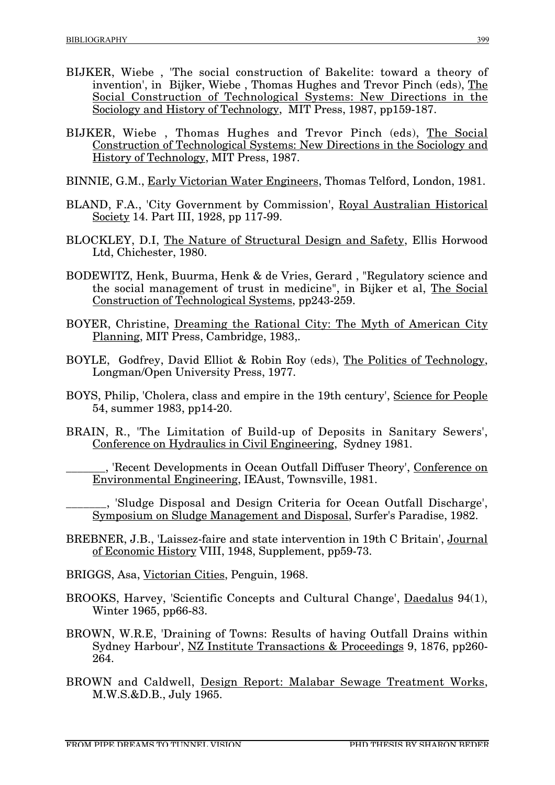- BIJKER, Wiebe , 'The social construction of Bakelite: toward a theory of invention', in Bijker, Wiebe , Thomas Hughes and Trevor Pinch (eds), The Social Construction of Technological Systems: New Directions in the Sociology and History of Technology, MIT Press, 1987, pp159-187.
- BIJKER, Wiebe , Thomas Hughes and Trevor Pinch (eds), The Social Construction of Technological Systems: New Directions in the Sociology and History of Technology, MIT Press, 1987.
- BINNIE, G.M., Early Victorian Water Engineers, Thomas Telford, London, 1981.
- BLAND, F.A., 'City Government by Commission', Royal Australian Historical Society 14. Part III, 1928, pp 117-99.
- BLOCKLEY, D.I, The Nature of Structural Design and Safety, Ellis Horwood Ltd, Chichester, 1980.
- BODEWITZ, Henk, Buurma, Henk & de Vries, Gerard , "Regulatory science and the social management of trust in medicine", in Bijker et al, The Social Construction of Technological Systems, pp243-259.
- BOYER, Christine, Dreaming the Rational City: The Myth of American City Planning, MIT Press, Cambridge, 1983,.
- BOYLE, Godfrey, David Elliot & Robin Roy (eds), The Politics of Technology, Longman/Open University Press, 1977.
- BOYS, Philip, 'Cholera, class and empire in the 19th century', Science for People 54, summer 1983, pp14-20.
- BRAIN, R., 'The Limitation of Build-up of Deposits in Sanitary Sewers', Conference on Hydraulics in Civil Engineering, Sydney 1981.

\_\_\_\_\_\_\_, 'Recent Developments in Ocean Outfall Diffuser Theory', Conference on Environmental Engineering, IEAust, Townsville, 1981.

\_\_\_\_\_\_\_, 'Sludge Disposal and Design Criteria for Ocean Outfall Discharge', Symposium on Sludge Management and Disposal, Surfer's Paradise, 1982.

- BREBNER, J.B., 'Laissez-faire and state intervention in 19th C Britain', Journal of Economic History VIII, 1948, Supplement, pp59-73.
- BRIGGS, Asa, Victorian Cities, Penguin, 1968.
- BROOKS, Harvey, 'Scientific Concepts and Cultural Change', Daedalus 94(1), Winter 1965, pp66-83.
- BROWN, W.R.E, 'Draining of Towns: Results of having Outfall Drains within Sydney Harbour', NZ Institute Transactions & Proceedings 9, 1876, pp260- 264.
- BROWN and Caldwell, Design Report: Malabar Sewage Treatment Works, M.W.S.&D.B., July 1965.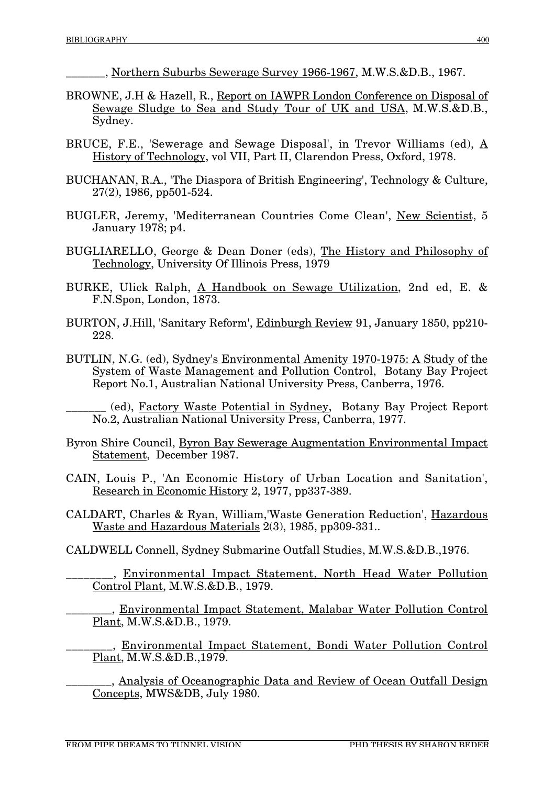\_\_\_\_\_\_\_, Northern Suburbs Sewerage Survey 1966-1967, M.W.S.&D.B., 1967.

- BROWNE, J.H & Hazell, R., Report on IAWPR London Conference on Disposal of Sewage Sludge to Sea and Study Tour of UK and USA, M.W.S.&D.B., Sydney.
- BRUCE, F.E., 'Sewerage and Sewage Disposal', in Trevor Williams (ed),  $\underline{A}$ History of Technology, vol VII, Part II, Clarendon Press, Oxford, 1978.
- BUCHANAN, R.A., 'The Diaspora of British Engineering', Technology & Culture, 27(2), 1986, pp501-524.
- BUGLER, Jeremy, 'Mediterranean Countries Come Clean', New Scientist, 5 January 1978; p4.
- BUGLIARELLO, George & Dean Doner (eds), The History and Philosophy of Technology, University Of Illinois Press, 1979
- BURKE, Ulick Ralph, A Handbook on Sewage Utilization, 2nd ed, E. & F.N.Spon, London, 1873.
- BURTON, J.Hill, 'Sanitary Reform', Edinburgh Review 91, January 1850, pp210- 228.
- BUTLIN, N.G. (ed), Sydney's Environmental Amenity 1970-1975: A Study of the System of Waste Management and Pollution Control, Botany Bay Project Report No.1, Australian National University Press, Canberra, 1976.

\_\_\_\_\_\_\_ (ed), Factory Waste Potential in Sydney, Botany Bay Project Report No.2, Australian National University Press, Canberra, 1977.

- Byron Shire Council, Byron Bay Sewerage Augmentation Environmental Impact Statement, December 1987.
- CAIN, Louis P., 'An Economic History of Urban Location and Sanitation', Research in Economic History 2, 1977, pp337-389.
- CALDART, Charles & Ryan, William,'Waste Generation Reduction', Hazardous Waste and Hazardous Materials 2(3), 1985, pp309-331..
- CALDWELL Connell, Sydney Submarine Outfall Studies, M.W.S.&D.B.,1976.

\_\_\_\_\_\_\_\_, Environmental Impact Statement, North Head Water Pollution Control Plant, M.W.S.&D.B., 1979.

\_\_\_\_\_\_\_\_, Environmental Impact Statement, Malabar Water Pollution Control Plant, M.W.S.&D.B., 1979.

<sub>,</sub> Environmental Impact Statement, Bondi Water Pollution Control Plant, M.W.S.&D.B.,1979.

\_\_\_\_\_\_\_\_, Analysis of Oceanographic Data and Review of Ocean Outfall Design Concepts, MWS&DB, July 1980.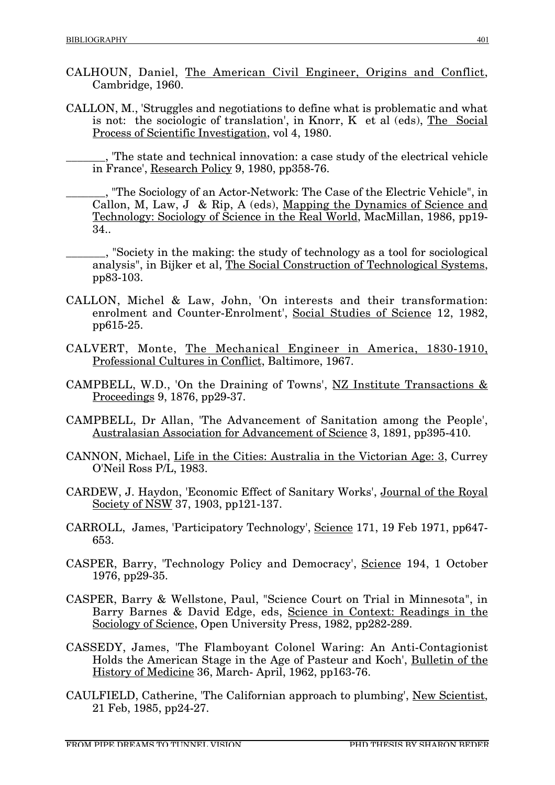- CALHOUN, Daniel, The American Civil Engineer, Origins and Conflict, Cambridge, 1960.
- CALLON, M., 'Struggles and negotiations to define what is problematic and what is not: the sociologic of translation', in Knorr, K et al (eds), The Social Process of Scientific Investigation, vol 4, 1980.

\_\_\_\_\_\_\_, 'The state and technical innovation: a case study of the electrical vehicle in France', Research Policy 9, 1980, pp358-76.

\_\_\_\_\_\_\_, "The Sociology of an Actor-Network: The Case of the Electric Vehicle", in Callon, M, Law, J & Rip, A (eds), Mapping the Dynamics of Science and Technology: Sociology of Science in the Real World, MacMillan, 1986, pp19- 34..

- \_\_\_\_\_\_\_, "Society in the making: the study of technology as a tool for sociological analysis", in Bijker et al, The Social Construction of Technological Systems, pp83-103.
- CALLON, Michel & Law, John, 'On interests and their transformation: enrolment and Counter-Enrolment', Social Studies of Science 12, 1982, pp615-25.
- CALVERT, Monte, The Mechanical Engineer in America, 1830-1910, Professional Cultures in Conflict, Baltimore, 1967.
- CAMPBELL, W.D., 'On the Draining of Towns', NZ Institute Transactions & Proceedings 9, 1876, pp29-37.
- CAMPBELL, Dr Allan, 'The Advancement of Sanitation among the People', Australasian Association for Advancement of Science 3, 1891, pp395-410.
- CANNON, Michael, Life in the Cities: Australia in the Victorian Age: 3, Currey O'Neil Ross P/L, 1983.
- CARDEW, J. Haydon, 'Economic Effect of Sanitary Works', Journal of the Royal Society of NSW 37, 1903, pp121-137.
- CARROLL, James, 'Participatory Technology', Science 171, 19 Feb 1971, pp647- 653.
- CASPER, Barry, 'Technology Policy and Democracy', Science 194, 1 October 1976, pp29-35.
- CASPER, Barry & Wellstone, Paul, "Science Court on Trial in Minnesota", in Barry Barnes & David Edge, eds, Science in Context: Readings in the Sociology of Science, Open University Press, 1982, pp282-289.
- CASSEDY, James, 'The Flamboyant Colonel Waring: An Anti-Contagionist Holds the American Stage in the Age of Pasteur and Koch', Bulletin of the History of Medicine 36, March- April, 1962, pp163-76.
- CAULFIELD, Catherine, 'The Californian approach to plumbing', New Scientist, 21 Feb, 1985, pp24-27.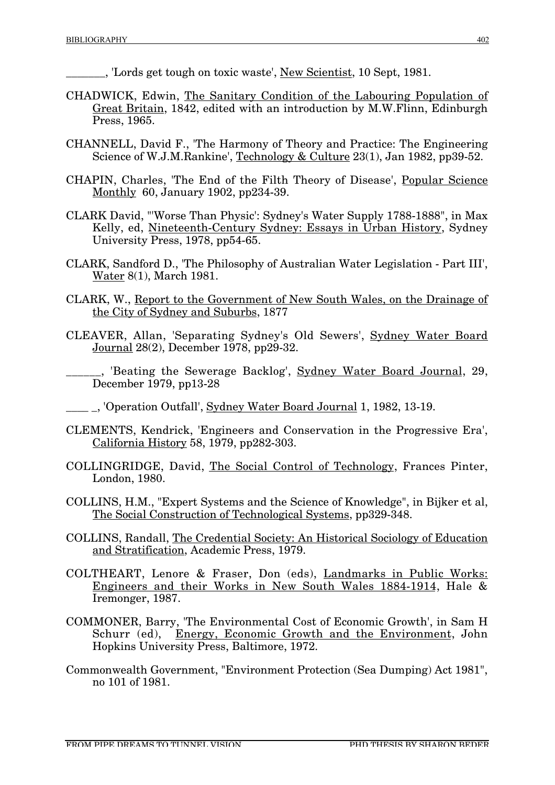\_\_\_\_\_\_\_, 'Lords get tough on toxic waste', New Scientist, 10 Sept, 1981.

- CHADWICK, Edwin, The Sanitary Condition of the Labouring Population of Great Britain, 1842, edited with an introduction by M.W.Flinn, Edinburgh Press, 1965.
- CHANNELL, David F., 'The Harmony of Theory and Practice: The Engineering Science of W.J.M.Rankine', Technology & Culture 23(1), Jan 1982, pp39-52.
- CHAPIN, Charles, 'The End of the Filth Theory of Disease', Popular Science Monthly 60, January 1902, pp234-39.
- CLARK David, "'Worse Than Physic': Sydney's Water Supply 1788-1888", in Max Kelly, ed, Nineteenth-Century Sydney: Essays in Urban History, Sydney University Press, 1978, pp54-65.
- CLARK, Sandford D., 'The Philosophy of Australian Water Legislation Part III', Water 8(1), March 1981.
- CLARK, W., Report to the Government of New South Wales, on the Drainage of the City of Sydney and Suburbs, 1877
- CLEAVER, Allan, 'Separating Sydney's Old Sewers', Sydney Water Board Journal 28(2), December 1978, pp29-32.
- . Beating the Sewerage Backlog', Sydney Water Board Journal, 29, December 1979, pp13-28
- \_\_\_\_ \_, 'Operation Outfall', Sydney Water Board Journal 1, 1982, 13-19.
- CLEMENTS, Kendrick, 'Engineers and Conservation in the Progressive Era', California History 58, 1979, pp282-303.
- COLLINGRIDGE, David, The Social Control of Technology, Frances Pinter, London, 1980.
- COLLINS, H.M., "Expert Systems and the Science of Knowledge", in Bijker et al, The Social Construction of Technological Systems, pp329-348.
- COLLINS, Randall, The Credential Society: An Historical Sociology of Education and Stratification, Academic Press, 1979.
- COLTHEART, Lenore & Fraser, Don (eds), Landmarks in Public Works: Engineers and their Works in New South Wales 1884-1914, Hale & Iremonger, 1987.
- COMMONER, Barry, 'The Environmental Cost of Economic Growth', in Sam H Schurr (ed), Energy, Economic Growth and the Environment, John Hopkins University Press, Baltimore, 1972.
- Commonwealth Government, "Environment Protection (Sea Dumping) Act 1981", no 101 of 1981.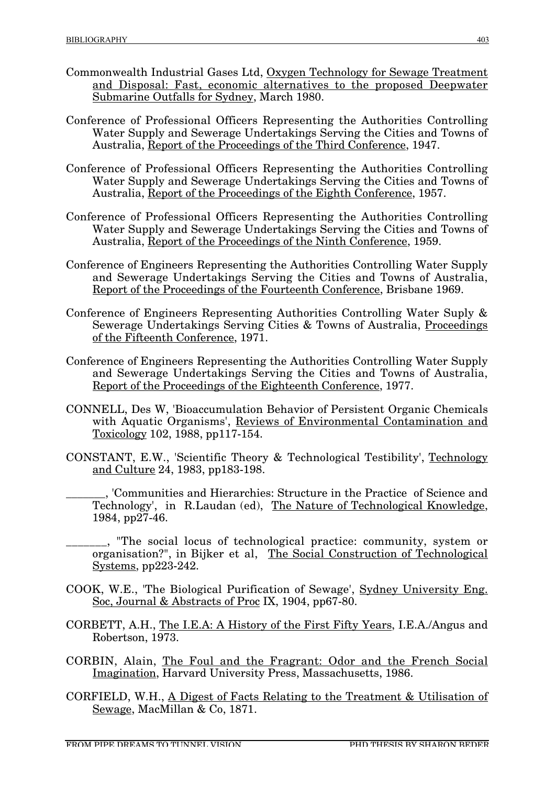- Commonwealth Industrial Gases Ltd, Oxygen Technology for Sewage Treatment and Disposal: Fast, economic alternatives to the proposed Deepwater Submarine Outfalls for Sydney, March 1980.
- Conference of Professional Officers Representing the Authorities Controlling Water Supply and Sewerage Undertakings Serving the Cities and Towns of Australia, Report of the Proceedings of the Third Conference, 1947.
- Conference of Professional Officers Representing the Authorities Controlling Water Supply and Sewerage Undertakings Serving the Cities and Towns of Australia, Report of the Proceedings of the Eighth Conference, 1957.
- Conference of Professional Officers Representing the Authorities Controlling Water Supply and Sewerage Undertakings Serving the Cities and Towns of Australia, Report of the Proceedings of the Ninth Conference, 1959.
- Conference of Engineers Representing the Authorities Controlling Water Supply and Sewerage Undertakings Serving the Cities and Towns of Australia, Report of the Proceedings of the Fourteenth Conference, Brisbane 1969.
- Conference of Engineers Representing Authorities Controlling Water Suply & Sewerage Undertakings Serving Cities & Towns of Australia, Proceedings of the Fifteenth Conference, 1971.
- Conference of Engineers Representing the Authorities Controlling Water Supply and Sewerage Undertakings Serving the Cities and Towns of Australia, Report of the Proceedings of the Eighteenth Conference, 1977.
- CONNELL, Des W, 'Bioaccumulation Behavior of Persistent Organic Chemicals with Aquatic Organisms', Reviews of Environmental Contamination and Toxicology 102, 1988, pp117-154.
- CONSTANT, E.W., 'Scientific Theory & Technological Testibility', Technology and Culture 24, 1983, pp183-198.
	- \_\_\_\_\_\_\_, 'Communities and Hierarchies: Structure in the Practice of Science and Technology', in R.Laudan (ed), The Nature of Technological Knowledge, 1984, pp27-46.
- \_\_\_\_\_\_\_, "The social locus of technological practice: community, system or organisation?", in Bijker et al, The Social Construction of Technological Systems, pp223-242.
- COOK, W.E., 'The Biological Purification of Sewage', Sydney University Eng. Soc, Journal & Abstracts of Proc IX, 1904, pp67-80.
- CORBETT, A.H., The I.E.A: A History of the First Fifty Years, I.E.A./Angus and Robertson, 1973.
- CORBIN, Alain, The Foul and the Fragrant: Odor and the French Social Imagination, Harvard University Press, Massachusetts, 1986.
- CORFIELD, W.H., A Digest of Facts Relating to the Treatment & Utilisation of Sewage, MacMillan & Co, 1871.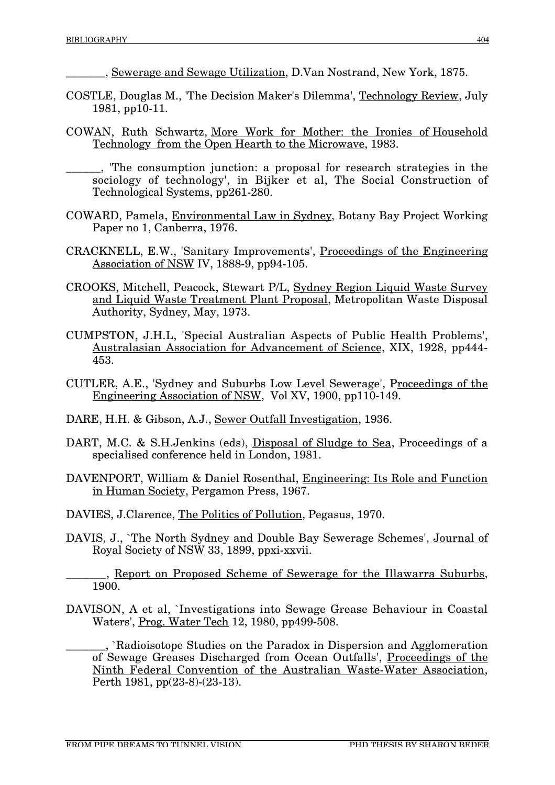\_\_\_\_\_\_\_, Sewerage and Sewage Utilization, D.Van Nostrand, New York, 1875.

- COSTLE, Douglas M., 'The Decision Maker's Dilemma', Technology Review, July 1981, pp10-11.
- COWAN, Ruth Schwartz, More Work for Mother: the Ironies of Household Technology from the Open Hearth to the Microwave, 1983.

\_\_\_\_\_\_, 'The consumption junction: a proposal for research strategies in the sociology of technology', in Bijker et al, The Social Construction of Technological Systems, pp261-280.

- COWARD, Pamela, Environmental Law in Sydney, Botany Bay Project Working Paper no 1, Canberra, 1976.
- CRACKNELL, E.W., 'Sanitary Improvements', Proceedings of the Engineering Association of NSW IV, 1888-9, pp94-105.
- CROOKS, Mitchell, Peacock, Stewart P/L, Sydney Region Liquid Waste Survey and Liquid Waste Treatment Plant Proposal, Metropolitan Waste Disposal Authority, Sydney, May, 1973.
- CUMPSTON, J.H.L, 'Special Australian Aspects of Public Health Problems', Australasian Association for Advancement of Science, XIX, 1928, pp444- 453.
- CUTLER, A.E., 'Sydney and Suburbs Low Level Sewerage', Proceedings of the Engineering Association of NSW, Vol XV, 1900, pp110-149.
- DARE, H.H. & Gibson, A.J., Sewer Outfall Investigation, 1936.
- DART, M.C. & S.H.Jenkins (eds), Disposal of Sludge to Sea, Proceedings of a specialised conference held in London, 1981.
- DAVENPORT, William & Daniel Rosenthal, Engineering: Its Role and Function in Human Society, Pergamon Press, 1967.
- DAVIES, J.Clarence, The Politics of Pollution, Pegasus, 1970.
- DAVIS, J., `The North Sydney and Double Bay Sewerage Schemes', Journal of Royal Society of NSW 33, 1899, ppxi-xxvii.

<sub>\_\_</sub>, Report on Proposed Scheme of Sewerage for the Illawarra Suburbs, 1900.

DAVISON, A et al, `Investigations into Sewage Grease Behaviour in Coastal Waters', Prog. Water Tech 12, 1980, pp499-508.

\_\_\_\_\_\_\_, `Radioisotope Studies on the Paradox in Dispersion and Agglomeration of Sewage Greases Discharged from Ocean Outfalls', Proceedings of the Ninth Federal Convention of the Australian Waste-Water Association, Perth 1981, pp(23-8)-(23-13).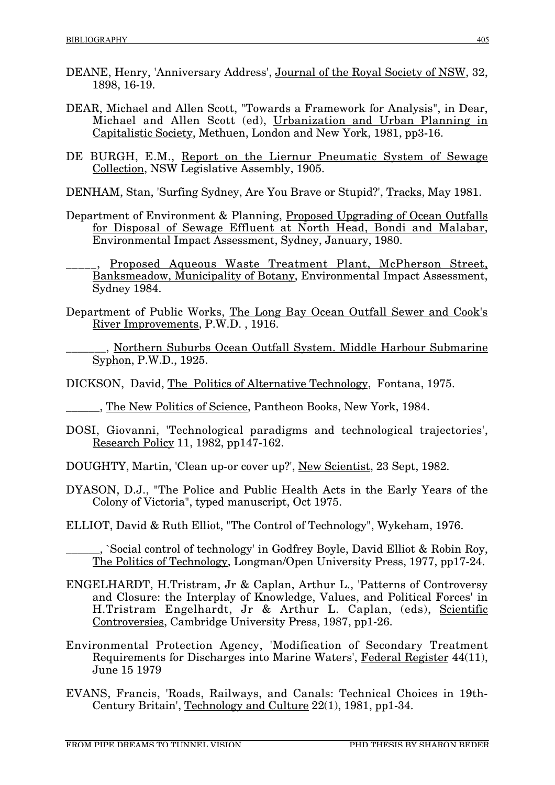- DEANE, Henry, 'Anniversary Address', Journal of the Royal Society of NSW, 32, 1898, 16-19.
- DEAR, Michael and Allen Scott, "Towards a Framework for Analysis", in Dear, Michael and Allen Scott (ed), Urbanization and Urban Planning in Capitalistic Society, Methuen, London and New York, 1981, pp3-16.
- DE BURGH, E.M., Report on the Liernur Pneumatic System of Sewage Collection, NSW Legislative Assembly, 1905.
- DENHAM, Stan, 'Surfing Sydney, Are You Brave or Stupid?', Tracks, May 1981.
- Department of Environment & Planning, Proposed Upgrading of Ocean Outfalls for Disposal of Sewage Effluent at North Head, Bondi and Malabar, Environmental Impact Assessment, Sydney, January, 1980.
- Proposed Aqueous Waste Treatment Plant, McPherson Street, Banksmeadow, Municipality of Botany, Environmental Impact Assessment, Sydney 1984.
- Department of Public Works, The Long Bay Ocean Outfall Sewer and Cook's River Improvements, P.W.D. , 1916.
	- \_\_\_\_\_\_\_, Northern Suburbs Ocean Outfall System. Middle Harbour Submarine Syphon, P.W.D., 1925.
- DICKSON, David, The Politics of Alternative Technology, Fontana, 1975.
- \_\_\_\_\_\_, The New Politics of Science, Pantheon Books, New York, 1984.
- DOSI, Giovanni, 'Technological paradigms and technological trajectories', Research Policy 11, 1982, pp147-162.
- DOUGHTY, Martin, 'Clean up-or cover up?', New Scientist, 23 Sept, 1982.
- DYASON, D.J., "The Police and Public Health Acts in the Early Years of the Colony of Victoria", typed manuscript, Oct 1975.
- ELLIOT, David & Ruth Elliot, "The Control of Technology", Wykeham, 1976.

, `Social control of technology' in Godfrey Boyle, David Elliot & Robin Roy, The Politics of Technology, Longman/Open University Press, 1977, pp17-24.

- ENGELHARDT, H.Tristram, Jr & Caplan, Arthur L., 'Patterns of Controversy and Closure: the Interplay of Knowledge, Values, and Political Forces' in H.Tristram Engelhardt, Jr & Arthur L. Caplan, (eds), Scientific Controversies, Cambridge University Press, 1987, pp1-26.
- Environmental Protection Agency, 'Modification of Secondary Treatment Requirements for Discharges into Marine Waters', Federal Register 44(11), June 15 1979
- EVANS, Francis, 'Roads, Railways, and Canals: Technical Choices in 19th-Century Britain', Technology and Culture 22(1), 1981, pp1-34.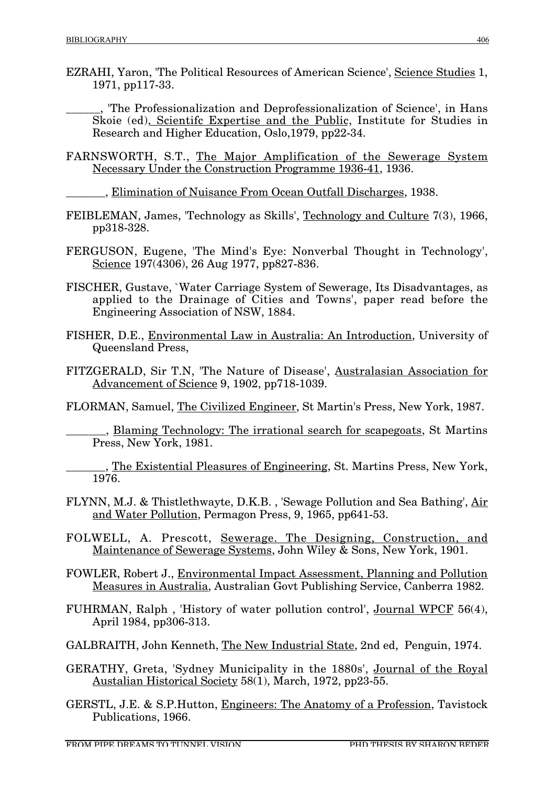EZRAHI, Yaron, 'The Political Resources of American Science', Science Studies 1, 1971, pp117-33.

\_\_\_\_\_\_, 'The Professionalization and Deprofessionalization of Science', in Hans Skoie (ed), Scientifc Expertise and the Public, Institute for Studies in Research and Higher Education, Oslo,1979, pp22-34.

FARNSWORTH, S.T., The Major Amplification of the Sewerage System Necessary Under the Construction Programme 1936-41, 1936.

\_\_\_\_\_\_\_, Elimination of Nuisance From Ocean Outfall Discharges, 1938.

- FEIBLEMAN, James, 'Technology as Skills', Technology and Culture 7(3), 1966, pp318-328.
- FERGUSON, Eugene, 'The Mind's Eye: Nonverbal Thought in Technology', Science 197(4306), 26 Aug 1977, pp827-836.
- FISCHER, Gustave, `Water Carriage System of Sewerage, Its Disadvantages, as applied to the Drainage of Cities and Towns', paper read before the Engineering Association of NSW, 1884.
- FISHER, D.E., Environmental Law in Australia: An Introduction, University of Queensland Press,
- FITZGERALD, Sir T.N, 'The Nature of Disease', Australasian Association for Advancement of Science 9, 1902, pp718-1039.
- FLORMAN, Samuel, The Civilized Engineer, St Martin's Press, New York, 1987.

\_\_\_\_\_\_\_, Blaming Technology: The irrational search for scapegoats, St Martins Press, New York, 1981.

, The Existential Pleasures of Engineering, St. Martins Press, New York, 1976.

- FLYNN, M.J. & Thistlethwayte, D.K.B. , 'Sewage Pollution and Sea Bathing', Air and Water Pollution, Permagon Press, 9, 1965, pp641-53.
- FOLWELL, A. Prescott, Sewerage. The Designing, Construction, and Maintenance of Sewerage Systems, John Wiley & Sons, New York, 1901.
- FOWLER, Robert J., Environmental Impact Assessment, Planning and Pollution Measures in Australia, Australian Govt Publishing Service, Canberra 1982.

FUHRMAN, Ralph , 'History of water pollution control', Journal WPCF 56(4), April 1984, pp306-313.

- GALBRAITH, John Kenneth, The New Industrial State, 2nd ed, Penguin, 1974.
- GERATHY, Greta, 'Sydney Municipality in the 1880s', Journal of the Royal Austalian Historical Society 58(1), March, 1972, pp23-55.
- GERSTL, J.E. & S.P.Hutton, Engineers: The Anatomy of a Profession, Tavistock Publications, 1966.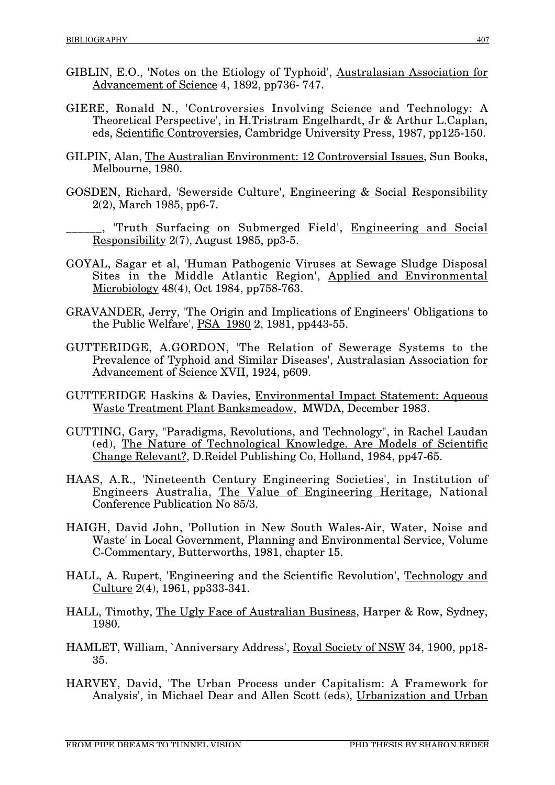- GIBLIN, E.O., 'Notes on the Etiology of Typhoid', Australasian Association for Advancement of Science 4, 1892, pp736- 747.
- GIERE, Ronald N., 'Controversies Involving Science and Technology: A Theoretical Perspective', in H.Tristram Engelhardt, Jr & Arthur L.Caplan, eds, Scientific Controversies, Cambridge University Press, 1987, pp125-150.
- GILPIN, Alan, The Australian Environment: 12 Controversial Issues, Sun Books, Melbourne, 1980.
- GOSDEN, Richard, 'Sewerside Culture', Engineering & Social Responsibility 2(2), March 1985, pp6-7.

<sub>1</sub>, 'Truth Surfacing on Submerged Field', Engineering and Social Responsibility 2(7), August 1985, pp3-5.

- GOYAL, Sagar et al, 'Human Pathogenic Viruses at Sewage Sludge Disposal Sites in the Middle Atlantic Region', Applied and Environmental Microbiology 48(4), Oct 1984, pp758-763.
- GRAVANDER, Jerry, 'The Origin and Implications of Engineers' Obligations to the Public Welfare', PSA 1980 2, 1981, pp443-55.
- GUTTERIDGE, A.GORDON, 'The Relation of Sewerage Systems to the Prevalence of Typhoid and Similar Diseases', Australasian Association for Advancement of Science XVII, 1924, p609.
- GUTTERIDGE Haskins & Davies, Environmental Impact Statement: Aqueous Waste Treatment Plant Banksmeadow, MWDA, December 1983.
- GUTTING, Gary, "Paradigms, Revolutions, and Technology", in Rachel Laudan (ed), The Nature of Technological Knowledge. Are Models of Scientific Change Relevant?, D.Reidel Publishing Co, Holland, 1984, pp47-65.
- HAAS, A.R., 'Nineteenth Century Engineering Societies', in Institution of Engineers Australia, The Value of Engineering Heritage, National Conference Publication No 85/3.
- HAIGH, David John, 'Pollution in New South Wales-Air, Water, Noise and Waste' in Local Government, Planning and Environmental Service, Volume C-Commentary, Butterworths, 1981, chapter 15.
- HALL, A. Rupert, 'Engineering and the Scientific Revolution', Technology and Culture  $2(4)$ , 1961, pp333-341.
- HALL, Timothy, The Ugly Face of Australian Business, Harper & Row, Sydney, 1980.
- HAMLET, William, `Anniversary Address', Royal Society of NSW 34, 1900, pp18- 35.
- HARVEY, David, 'The Urban Process under Capitalism: A Framework for Analysis', in Michael Dear and Allen Scott (eds), Urbanization and Urban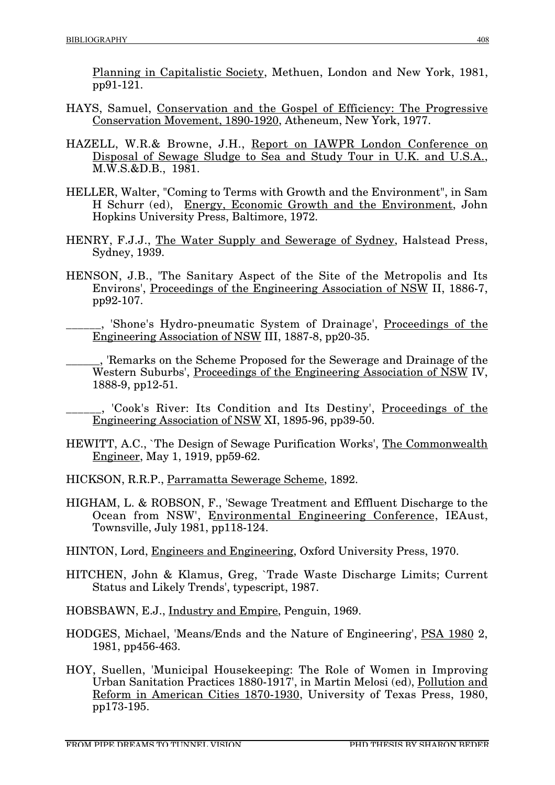Planning in Capitalistic Society, Methuen, London and New York, 1981, pp91-121.

- HAYS, Samuel, Conservation and the Gospel of Efficiency: The Progressive Conservation Movement, 1890-1920, Atheneum, New York, 1977.
- HAZELL, W.R.& Browne, J.H., Report on IAWPR London Conference on Disposal of Sewage Sludge to Sea and Study Tour in U.K. and U.S.A., M.W.S.&D.B., 1981.
- HELLER, Walter, "Coming to Terms with Growth and the Environment", in Sam H Schurr (ed), Energy, Economic Growth and the Environment, John Hopkins University Press, Baltimore, 1972.
- HENRY, F.J.J., The Water Supply and Sewerage of Sydney, Halstead Press, Sydney, 1939.
- HENSON, J.B., 'The Sanitary Aspect of the Site of the Metropolis and Its Environs', Proceedings of the Engineering Association of NSW II, 1886-7, pp92-107.
	- \_\_\_\_\_\_, 'Shone's Hydro-pneumatic System of Drainage', Proceedings of the Engineering Association of NSW III, 1887-8, pp20-35.
	- \_\_\_\_\_\_, 'Remarks on the Scheme Proposed for the Sewerage and Drainage of the Western Suburbs', Proceedings of the Engineering Association of NSW IV, 1888-9, pp12-51.
	- \_\_\_\_\_\_, 'Cook's River: Its Condition and Its Destiny', Proceedings of the Engineering Association of NSW XI, 1895-96, pp39-50.
- HEWITT, A.C., `The Design of Sewage Purification Works', The Commonwealth Engineer, May 1, 1919, pp59-62.
- HICKSON, R.R.P., Parramatta Sewerage Scheme, 1892.
- HIGHAM, L. & ROBSON, F., 'Sewage Treatment and Effluent Discharge to the Ocean from NSW', Environmental Engineering Conference, IEAust, Townsville, July 1981, pp118-124.
- HINTON, Lord, Engineers and Engineering, Oxford University Press, 1970.
- HITCHEN, John & Klamus, Greg, `Trade Waste Discharge Limits; Current Status and Likely Trends', typescript, 1987.

HOBSBAWN, E.J., Industry and Empire, Penguin, 1969.

- HODGES, Michael, 'Means/Ends and the Nature of Engineering', PSA 1980 2, 1981, pp456-463.
- HOY, Suellen, 'Municipal Housekeeping: The Role of Women in Improving Urban Sanitation Practices 1880-1917', in Martin Melosi (ed), Pollution and Reform in American Cities 1870-1930, University of Texas Press, 1980, pp173-195.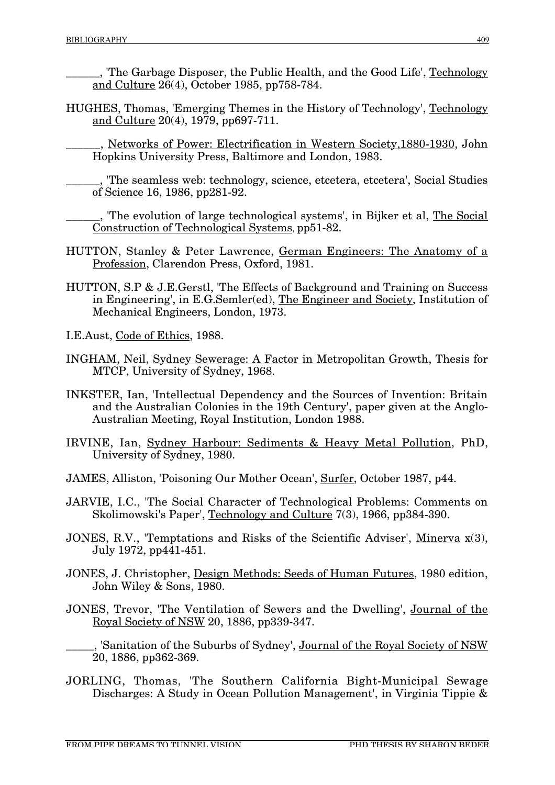\_\_\_\_\_\_, 'The Garbage Disposer, the Public Health, and the Good Life', Technology and Culture 26(4), October 1985, pp758-784.

HUGHES, Thomas, 'Emerging Themes in the History of Technology', Technology and Culture 20(4), 1979, pp697-711.

\_\_\_\_\_\_, Networks of Power: Electrification in Western Society,1880-1930, John Hopkins University Press, Baltimore and London, 1983.

\_\_\_\_\_\_, 'The seamless web: technology, science, etcetera, etcetera', Social Studies of Science 16, 1986, pp281-92.

<sub>n</sub>, 'The evolution of large technological systems', in Bijker et al, <u>The Social</u> Construction of Technological Systems, pp51-82.

- HUTTON, Stanley & Peter Lawrence, German Engineers: The Anatomy of a Profession, Clarendon Press, Oxford, 1981.
- HUTTON, S.P & J.E.Gerstl, 'The Effects of Background and Training on Success in Engineering', in E.G.Semler(ed), The Engineer and Society, Institution of Mechanical Engineers, London, 1973.
- I.E.Aust, Code of Ethics, 1988.
- INGHAM, Neil, Sydney Sewerage: A Factor in Metropolitan Growth, Thesis for MTCP, University of Sydney, 1968.
- INKSTER, Ian, 'Intellectual Dependency and the Sources of Invention: Britain and the Australian Colonies in the 19th Century', paper given at the Anglo-Australian Meeting, Royal Institution, London 1988.
- IRVINE, Ian, Sydney Harbour: Sediments & Heavy Metal Pollution, PhD, University of Sydney, 1980.
- JAMES, Alliston, 'Poisoning Our Mother Ocean', Surfer, October 1987, p44.
- JARVIE, I.C., 'The Social Character of Technological Problems: Comments on Skolimowski's Paper', Technology and Culture 7(3), 1966, pp384-390.
- JONES, R.V., 'Temptations and Risks of the Scientific Adviser', Minerva x(3), July 1972, pp441-451.
- JONES, J. Christopher, Design Methods: Seeds of Human Futures, 1980 edition, John Wiley & Sons, 1980.
- JONES, Trevor, 'The Ventilation of Sewers and the Dwelling', Journal of the Royal Society of NSW 20, 1886, pp339-347.

, 'Sanitation of the Suburbs of Sydney', Journal of the Royal Society of NSW 20, 1886, pp362-369.

JORLING, Thomas, 'The Southern California Bight-Municipal Sewage Discharges: A Study in Ocean Pollution Management', in Virginia Tippie &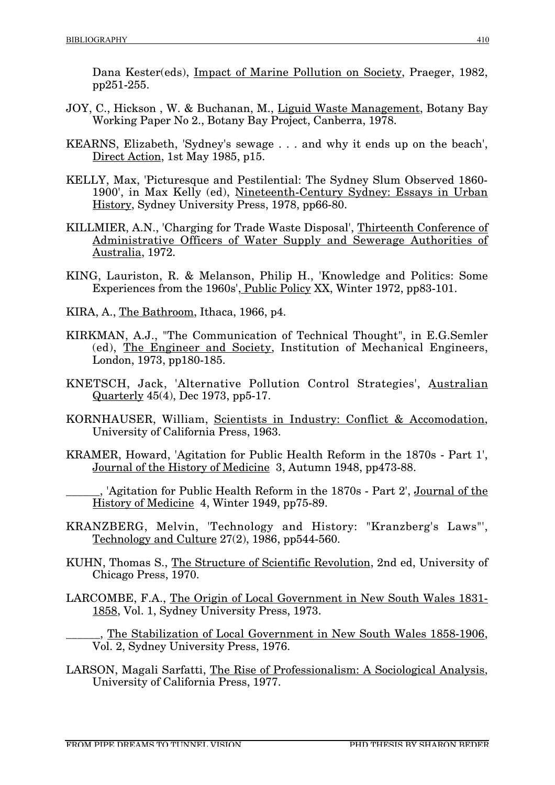Dana Kester(eds), Impact of Marine Pollution on Society, Praeger, 1982, pp251-255.

- JOY, C., Hickson , W. & Buchanan, M., Liguid Waste Management, Botany Bay Working Paper No 2., Botany Bay Project, Canberra, 1978.
- KEARNS, Elizabeth, 'Sydney's sewage . . . and why it ends up on the beach', Direct Action, 1st May 1985, p15.
- KELLY, Max, 'Picturesque and Pestilential: The Sydney Slum Observed 1860-1900', in Max Kelly (ed), Nineteenth-Century Sydney: Essays in Urban History, Sydney University Press, 1978, pp66-80.
- KILLMIER, A.N., 'Charging for Trade Waste Disposal', Thirteenth Conference of Administrative Officers of Water Supply and Sewerage Authorities of Australia, 1972.
- KING, Lauriston, R. & Melanson, Philip H., 'Knowledge and Politics: Some Experiences from the 1960s', Public Policy XX, Winter 1972, pp83-101.
- KIRA, A., The Bathroom, Ithaca, 1966, p4.
- KIRKMAN, A.J., "The Communication of Technical Thought", in E.G.Semler (ed), The Engineer and Society, Institution of Mechanical Engineers, London, 1973, pp180-185.
- KNETSCH, Jack, 'Alternative Pollution Control Strategies', Australian Quarterly 45(4), Dec 1973, pp5-17.
- KORNHAUSER, William, Scientists in Industry: Conflict & Accomodation, University of California Press, 1963.
- KRAMER, Howard, 'Agitation for Public Health Reform in the 1870s Part 1', Journal of the History of Medicine 3, Autumn 1948, pp473-88.

\_\_\_\_\_\_, 'Agitation for Public Health Reform in the 1870s - Part 2', Journal of the History of Medicine 4, Winter 1949, pp75-89.

- KRANZBERG, Melvin, 'Technology and History: "Kranzberg's Laws"', Technology and Culture 27(2), 1986, pp544-560.
- KUHN, Thomas S., The Structure of Scientific Revolution, 2nd ed, University of Chicago Press, 1970.
- LARCOMBE, F.A., The Origin of Local Government in New South Wales 1831- 1858, Vol. 1, Sydney University Press, 1973.

. The Stabilization of Local Government in New South Wales 1858-1906, Vol. 2, Sydney University Press, 1976.

LARSON, Magali Sarfatti, The Rise of Professionalism: A Sociological Analysis, University of California Press, 1977.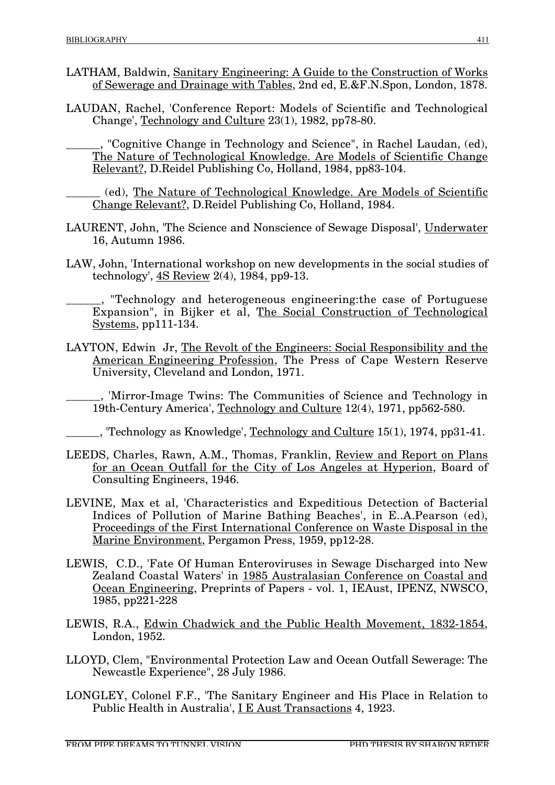- LATHAM, Baldwin, Sanitary Engineering: A Guide to the Construction of Works of Sewerage and Drainage with Tables, 2nd ed, E.&F.N.Spon, London, 1878.
- LAUDAN, Rachel, 'Conference Report: Models of Scientific and Technological Change', Technology and Culture 23(1), 1982, pp78-80.

"Cognitive Change in Technology and Science", in Rachel Laudan, (ed), The Nature of Technological Knowledge. Are Models of Scientific Change Relevant?, D.Reidel Publishing Co, Holland, 1984, pp83-104.

\_\_\_\_\_\_ (ed), The Nature of Technological Knowledge. Are Models of Scientific Change Relevant?, D.Reidel Publishing Co, Holland, 1984.

- LAURENT, John, 'The Science and Nonscience of Sewage Disposal', Underwater 16, Autumn 1986.
- LAW, John, 'International workshop on new developments in the social studies of technology', 4S Review 2(4), 1984, pp9-13.

\_\_\_\_\_\_, "Technology and heterogeneous engineering:the case of Portuguese Expansion", in Bijker et al, The Social Construction of Technological Systems, pp111-134.

LAYTON, Edwin Jr, The Revolt of the Engineers: Social Responsibility and the American Engineering Profession, The Press of Cape Western Reserve University, Cleveland and London, 1971.

\_\_\_\_\_\_, 'Mirror-Image Twins: The Communities of Science and Technology in 19th-Century America', Technology and Culture 12(4), 1971, pp562-580.

<sub>\_</sub>, 'Technology as Knowledge', <u>Technology and Culture</u> 15(1), 1974, pp31-41.

- LEEDS, Charles, Rawn, A.M., Thomas, Franklin, Review and Report on Plans for an Ocean Outfall for the City of Los Angeles at Hyperion, Board of Consulting Engineers, 1946.
- LEVINE, Max et al, 'Characteristics and Expeditious Detection of Bacterial Indices of Pollution of Marine Bathing Beaches', in E..A.Pearson (ed), Proceedings of the First International Conference on Waste Disposal in the Marine Environment, Pergamon Press, 1959, pp12-28.
- LEWIS, C.D., 'Fate Of Human Enteroviruses in Sewage Discharged into New Zealand Coastal Waters' in 1985 Australasian Conference on Coastal and Ocean Engineering, Preprints of Papers - vol. 1, IEAust, IPENZ, NWSCO, 1985, pp221-228
- LEWIS, R.A., Edwin Chadwick and the Public Health Movement, 1832-1854, London, 1952.
- LLOYD, Clem, "Environmental Protection Law and Ocean Outfall Sewerage: The Newcastle Experience", 28 July 1986.
- LONGLEY, Colonel F.F., 'The Sanitary Engineer and His Place in Relation to Public Health in Australia', I E Aust Transactions 4, 1923.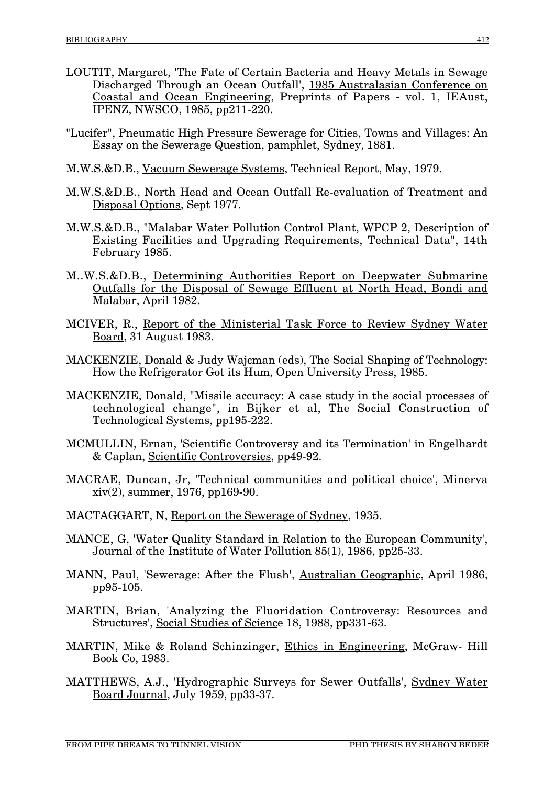- LOUTIT, Margaret, 'The Fate of Certain Bacteria and Heavy Metals in Sewage Discharged Through an Ocean Outfall', 1985 Australasian Conference on Coastal and Ocean Engineering, Preprints of Papers - vol. 1, IEAust, IPENZ, NWSCO, 1985, pp211-220.
- "Lucifer", Pneumatic High Pressure Sewerage for Cities, Towns and Villages: An Essay on the Sewerage Question, pamphlet, Sydney, 1881.
- M.W.S.&D.B., Vacuum Sewerage Systems, Technical Report, May, 1979.
- M.W.S.&D.B., North Head and Ocean Outfall Re-evaluation of Treatment and Disposal Options, Sept 1977.
- M.W.S.&D.B., "Malabar Water Pollution Control Plant, WPCP 2, Description of Existing Facilities and Upgrading Requirements, Technical Data", 14th February 1985.
- M..W.S.&D.B., Determining Authorities Report on Deepwater Submarine Outfalls for the Disposal of Sewage Effluent at North Head, Bondi and Malabar, April 1982.
- MCIVER, R., Report of the Ministerial Task Force to Review Sydney Water Board, 31 August 1983.
- MACKENZIE, Donald & Judy Wajcman (eds), The Social Shaping of Technology: How the Refrigerator Got its Hum, Open University Press, 1985.
- MACKENZIE, Donald, "Missile accuracy: A case study in the social processes of technological change", in Bijker et al, The Social Construction of Technological Systems, pp195-222.
- MCMULLIN, Ernan, 'Scientific Controversy and its Termination' in Engelhardt & Caplan, Scientific Controversies, pp49-92.
- MACRAE, Duncan, Jr, 'Technical communities and political choice', Minerva xiv(2), summer, 1976, pp169-90.
- MACTAGGART, N, Report on the Sewerage of Sydney, 1935.
- MANCE, G, 'Water Quality Standard in Relation to the European Community', Journal of the Institute of Water Pollution 85(1), 1986, pp25-33.
- MANN, Paul, 'Sewerage: After the Flush', Australian Geographic, April 1986, pp95-105.
- MARTIN, Brian, 'Analyzing the Fluoridation Controversy: Resources and Structures', Social Studies of Science 18, 1988, pp331-63.
- MARTIN, Mike & Roland Schinzinger, Ethics in Engineering, McGraw- Hill Book Co, 1983.
- MATTHEWS, A.J., 'Hydrographic Surveys for Sewer Outfalls', Sydney Water Board Journal, July 1959, pp33-37.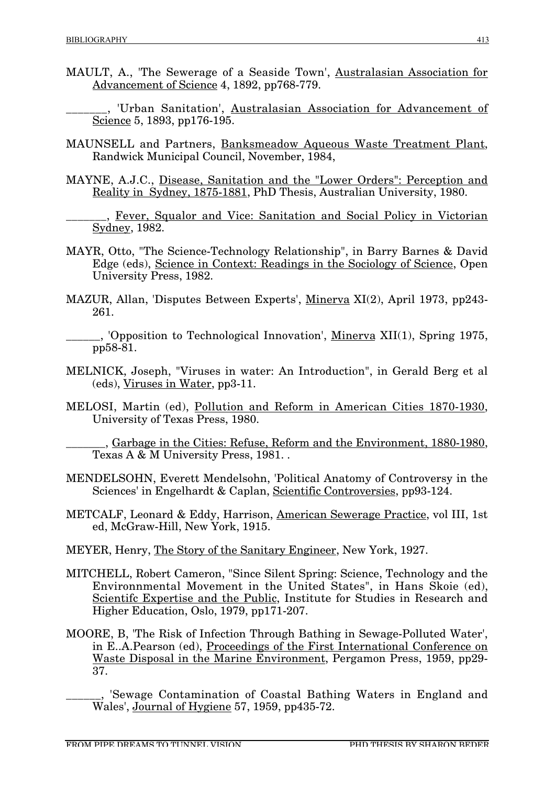- MAULT, A., 'The Sewerage of a Seaside Town', Australasian Association for Advancement of Science 4, 1892, pp768-779.
	- \_\_\_\_\_\_\_, 'Urban Sanitation', Australasian Association for Advancement of Science 5, 1893, pp176-195.
- MAUNSELL and Partners, Banksmeadow Aqueous Waste Treatment Plant, Randwick Municipal Council, November, 1984,
- MAYNE, A.J.C., Disease, Sanitation and the "Lower Orders": Perception and Reality in Sydney, 1875-1881, PhD Thesis, Australian University, 1980.
	- \_\_\_\_\_\_\_, Fever, Squalor and Vice: Sanitation and Social Policy in Victorian Sydney, 1982.
- MAYR, Otto, "The Science-Technology Relationship", in Barry Barnes & David Edge (eds), Science in Context: Readings in the Sociology of Science, Open University Press, 1982.
- MAZUR, Allan, 'Disputes Between Experts', Minerva XI(2), April 1973, pp243- 261.
- \_\_\_\_\_\_, 'Opposition to Technological Innovation', Minerva XII(1), Spring 1975, pp58-81.
- MELNICK, Joseph, "Viruses in water: An Introduction", in Gerald Berg et al (eds), Viruses in Water, pp3-11.
- MELOSI, Martin (ed), Pollution and Reform in American Cities 1870-1930, University of Texas Press, 1980.
	- \_\_\_\_\_\_\_, Garbage in the Cities: Refuse, Reform and the Environment, 1880-1980, Texas A & M University Press, 1981. .
- MENDELSOHN, Everett Mendelsohn, 'Political Anatomy of Controversy in the Sciences' in Engelhardt & Caplan, Scientific Controversies, pp93-124.
- METCALF, Leonard & Eddy, Harrison, American Sewerage Practice, vol III, 1st ed, McGraw-Hill, New York, 1915.
- MEYER, Henry, The Story of the Sanitary Engineer, New York, 1927.
- MITCHELL, Robert Cameron, "Since Silent Spring: Science, Technology and the Environnmental Movement in the United States", in Hans Skoie (ed), Scientifc Expertise and the Public, Institute for Studies in Research and Higher Education, Oslo, 1979, pp171-207.
- MOORE, B, 'The Risk of Infection Through Bathing in Sewage-Polluted Water', in E..A.Pearson (ed), Proceedings of the First International Conference on Waste Disposal in the Marine Environment, Pergamon Press, 1959, pp29- 37.

\_\_\_\_\_\_, 'Sewage Contamination of Coastal Bathing Waters in England and Wales', Journal of Hygiene 57, 1959, pp435-72.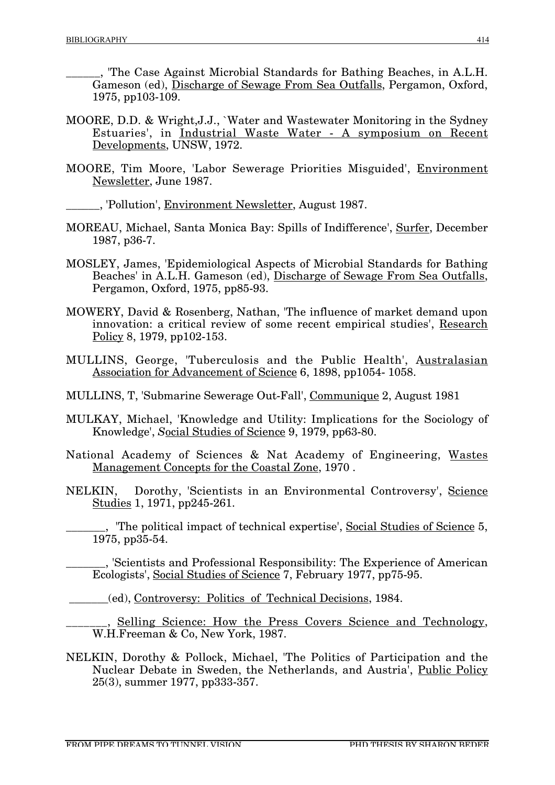\_\_\_\_\_\_, 'The Case Against Microbial Standards for Bathing Beaches, in A.L.H. Gameson (ed), Discharge of Sewage From Sea Outfalls, Pergamon, Oxford, 1975, pp103-109.

- MOORE, D.D. & Wright,J.J., `Water and Wastewater Monitoring in the Sydney Estuaries', in Industrial Waste Water - A symposium on Recent Developments, UNSW, 1972.
- MOORE, Tim Moore, 'Labor Sewerage Priorities Misguided', Environment Newsletter, June 1987.
- \_\_\_\_\_\_, 'Pollution', Environment Newsletter, August 1987.
- MOREAU, Michael, Santa Monica Bay: Spills of Indifference', Surfer, December 1987, p36-7.
- MOSLEY, James, 'Epidemiological Aspects of Microbial Standards for Bathing Beaches' in A.L.H. Gameson (ed), Discharge of Sewage From Sea Outfalls, Pergamon, Oxford, 1975, pp85-93.
- MOWERY, David & Rosenberg, Nathan, 'The influence of market demand upon innovation: a critical review of some recent empirical studies', Research Policy 8, 1979, pp102-153.
- MULLINS, George, 'Tuberculosis and the Public Health', Australasian Association for Advancement of Science 6, 1898, pp1054- 1058.
- MULLINS, T, 'Submarine Sewerage Out-Fall', Communique 2, August 1981
- MULKAY, Michael, 'Knowledge and Utility: Implications for the Sociology of Knowledge', *S*ocial Studies of Science 9, 1979, pp63-80.
- National Academy of Sciences & Nat Academy of Engineering, Wastes Management Concepts for the Coastal Zone, 1970 .
- NELKIN, Dorothy, 'Scientists in an Environmental Controversy', Science Studies 1, 1971, pp245-261.

\_\_\_\_\_\_\_, 'The political impact of technical expertise', Social Studies of Science 5, 1975, pp35-54.

\_\_\_\_\_\_\_, 'Scientists and Professional Responsibility: The Experience of American Ecologists', Social Studies of Science 7, February 1977, pp75-95.

\_\_\_\_\_\_\_(ed), Controversy: Politics of Technical Decisions, 1984.

. Selling Science: How the Press Covers Science and Technology, W.H.Freeman & Co, New York, 1987.

NELKIN, Dorothy & Pollock, Michael, 'The Politics of Participation and the Nuclear Debate in Sweden, the Netherlands, and Austria', Public Policy 25(3), summer 1977, pp333-357.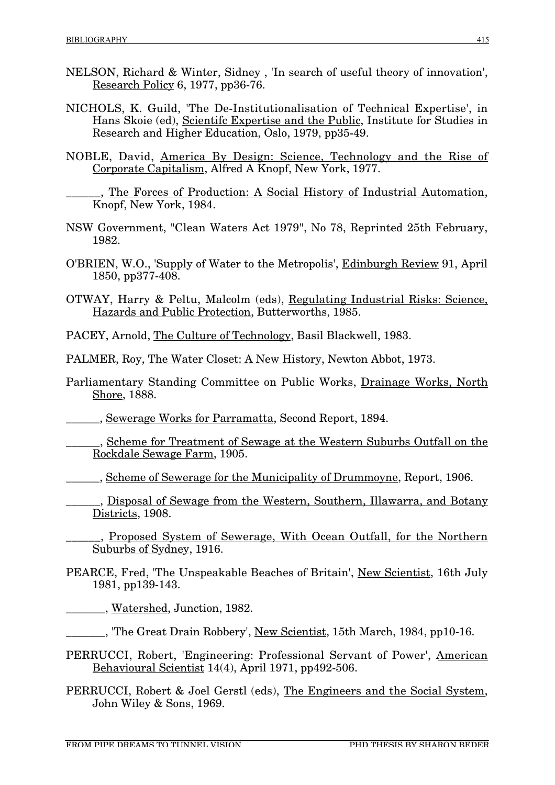- NELSON, Richard & Winter, Sidney , 'In search of useful theory of innovation', Research Policy 6, 1977, pp36-76.
- NICHOLS, K. Guild, 'The De-Institutionalisation of Technical Expertise', in Hans Skoie (ed), Scientifc Expertise and the Public, Institute for Studies in Research and Higher Education, Oslo, 1979, pp35-49.
- NOBLE, David, America By Design: Science, Technology and the Rise of Corporate Capitalism, Alfred A Knopf, New York, 1977.
	- \_\_\_\_\_\_, The Forces of Production: A Social History of Industrial Automation, Knopf, New York, 1984.
- NSW Government, "Clean Waters Act 1979", No 78, Reprinted 25th February, 1982.
- O'BRIEN, W.O., 'Supply of Water to the Metropolis', Edinburgh Review 91, April 1850, pp377-408.
- OTWAY, Harry & Peltu, Malcolm (eds), Regulating Industrial Risks: Science, Hazards and Public Protection, Butterworths, 1985.
- PACEY, Arnold, The Culture of Technology, Basil Blackwell, 1983.
- PALMER, Roy, The Water Closet: A New History, Newton Abbot, 1973.
- Parliamentary Standing Committee on Public Works, Drainage Works, North Shore, 1888.
- \_\_\_\_\_\_, Sewerage Works for Parramatta, Second Report, 1894.
- \_\_\_\_\_\_, Scheme for Treatment of Sewage at the Western Suburbs Outfall on the Rockdale Sewage Farm, 1905.
- \_\_\_\_\_\_, Scheme of Sewerage for the Municipality of Drummoyne, Report, 1906.
- . Disposal of Sewage from the Western, Southern, Illawarra, and Botany Districts, 1908.
	- \_\_\_\_\_\_, Proposed System of Sewerage, With Ocean Outfall, for the Northern Suburbs of Sydney, 1916.
- PEARCE, Fred, 'The Unspeakable Beaches of Britain', New Scientist, 16th July 1981, pp139-143.

\_\_\_\_\_\_\_, Watershed, Junction, 1982.

\_\_\_\_\_\_\_, 'The Great Drain Robbery', New Scientist, 15th March, 1984, pp10-16.

- PERRUCCI, Robert, 'Engineering: Professional Servant of Power', American Behavioural Scientist 14(4), April 1971, pp492-506.
- PERRUCCI, Robert & Joel Gerstl (eds), The Engineers and the Social System, John Wiley & Sons, 1969.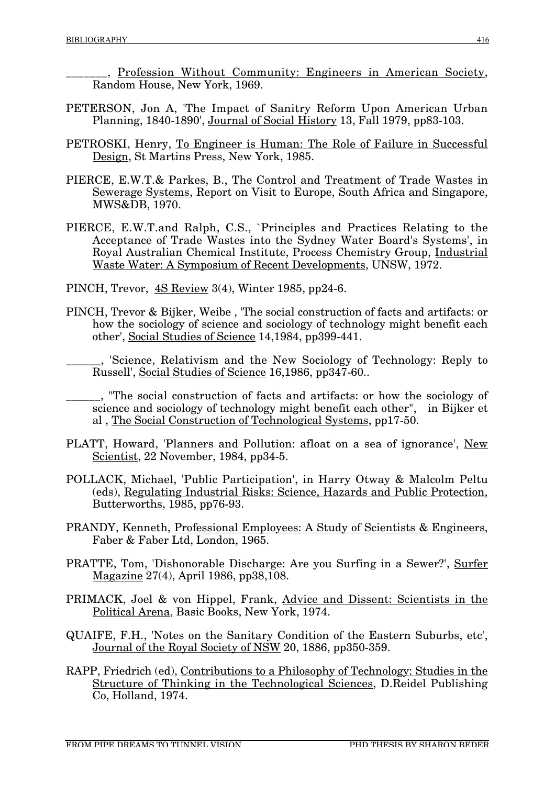\_\_\_\_\_\_\_, Profession Without Community: Engineers in American Society, Random House, New York, 1969.

- PETERSON, Jon A, 'The Impact of Sanitry Reform Upon American Urban Planning, 1840-1890', Journal of Social History 13, Fall 1979, pp83-103.
- PETROSKI, Henry, To Engineer is Human: The Role of Failure in Successful Design, St Martins Press, New York, 1985.
- PIERCE, E.W.T.& Parkes, B., The Control and Treatment of Trade Wastes in Sewerage Systems, Report on Visit to Europe, South Africa and Singapore, MWS&DB, 1970.
- PIERCE, E.W.T.and Ralph, C.S., `Principles and Practices Relating to the Acceptance of Trade Wastes into the Sydney Water Board's Systems', in Royal Australian Chemical Institute, Process Chemistry Group, Industrial Waste Water: A Symposium of Recent Developments, UNSW, 1972.
- PINCH, Trevor, 4S Review 3(4), Winter 1985, pp24-6.
- PINCH, Trevor & Bijker, Weibe , 'The social construction of facts and artifacts: or how the sociology of science and sociology of technology might benefit each other', Social Studies of Science 14,1984, pp399-441.
	- \_\_\_\_\_\_, 'Science, Relativism and the New Sociology of Technology: Reply to Russell', Social Studies of Science 16,1986, pp347-60..
- \_\_\_\_\_\_, "The social construction of facts and artifacts: or how the sociology of science and sociology of technology might benefit each other", in Bijker et al , The Social Construction of Technological Systems, pp17-50.
- PLATT, Howard, 'Planners and Pollution: afloat on a sea of ignorance', New Scientist, 22 November, 1984, pp34-5.
- POLLACK, Michael, 'Public Participation', in Harry Otway & Malcolm Peltu (eds), Regulating Industrial Risks: Science, Hazards and Public Protection, Butterworths, 1985, pp76-93.
- PRANDY, Kenneth, Professional Employees: A Study of Scientists & Engineers, Faber & Faber Ltd, London, 1965.
- PRATTE, Tom, 'Dishonorable Discharge: Are you Surfing in a Sewer?', Surfer Magazine 27(4), April 1986, pp38,108.
- PRIMACK, Joel & von Hippel, Frank, Advice and Dissent: Scientists in the Political Arena, Basic Books, New York, 1974.
- QUAIFE, F.H., 'Notes on the Sanitary Condition of the Eastern Suburbs, etc', Journal of the Royal Society of NSW 20, 1886, pp350-359.
- RAPP, Friedrich (ed), Contributions to a Philosophy of Technology: Studies in the Structure of Thinking in the Technological Sciences, D.Reidel Publishing Co, Holland, 1974.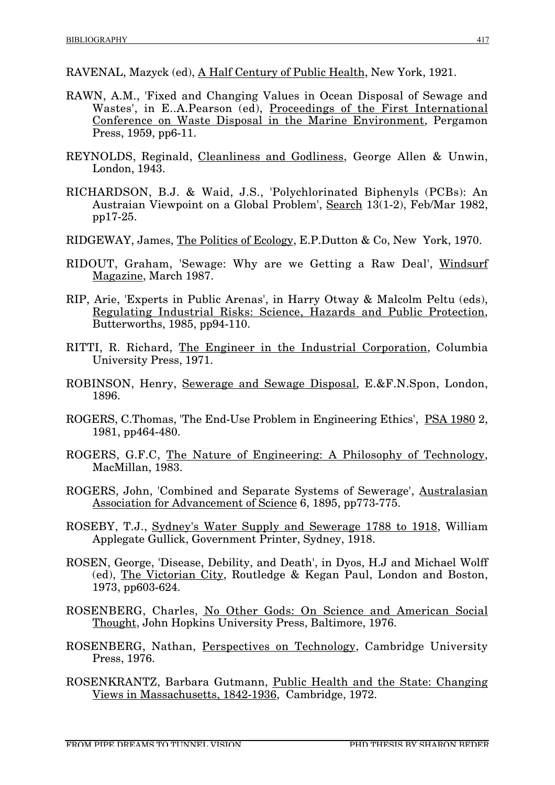- RAVENAL, Mazyck (ed), A Half Century of Public Health, New York, 1921.
- RAWN, A.M., 'Fixed and Changing Values in Ocean Disposal of Sewage and Wastes', in E..A.Pearson (ed), Proceedings of the First International Conference on Waste Disposal in the Marine Environment, Pergamon Press, 1959, pp6-11.
- REYNOLDS, Reginald, Cleanliness and Godliness, George Allen & Unwin, London, 1943.
- RICHARDSON, B.J. & Waid, J.S., 'Polychlorinated Biphenyls (PCBs): An Austraian Viewpoint on a Global Problem', Search 13(1-2), Feb/Mar 1982, pp17-25.
- RIDGEWAY, James, The Politics of Ecology, E.P.Dutton & Co, New York, 1970.
- RIDOUT, Graham, 'Sewage: Why are we Getting a Raw Deal', Windsurf Magazine, March 1987.
- RIP, Arie, 'Experts in Public Arenas', in Harry Otway & Malcolm Peltu (eds), Regulating Industrial Risks: Science, Hazards and Public Protection, Butterworths, 1985, pp94-110.
- RITTI, R. Richard, The Engineer in the Industrial Corporation, Columbia University Press, 1971.
- ROBINSON, Henry, Sewerage and Sewage Disposal, E.&F.N.Spon, London, 1896.
- ROGERS, C.Thomas, 'The End-Use Problem in Engineering Ethics', PSA 1980 2, 1981, pp464-480.
- ROGERS, G.F.C, The Nature of Engineering: A Philosophy of Technology, MacMillan, 1983.
- ROGERS, John, 'Combined and Separate Systems of Sewerage', Australasian Association for Advancement of Science 6, 1895, pp773-775.
- ROSEBY, T.J., Sydney's Water Supply and Sewerage 1788 to 1918, William Applegate Gullick, Government Printer, Sydney, 1918.
- ROSEN, George, 'Disease, Debility, and Death', in Dyos, H.J and Michael Wolff (ed), The Victorian City, Routledge & Kegan Paul, London and Boston, 1973, pp603-624.
- ROSENBERG, Charles, No Other Gods: On Science and American Social Thought, John Hopkins University Press, Baltimore, 1976.
- ROSENBERG, Nathan, Perspectives on Technology, Cambridge University Press, 1976.
- ROSENKRANTZ, Barbara Gutmann, Public Health and the State: Changing Views in Massachusetts, 1842-1936, Cambridge, 1972.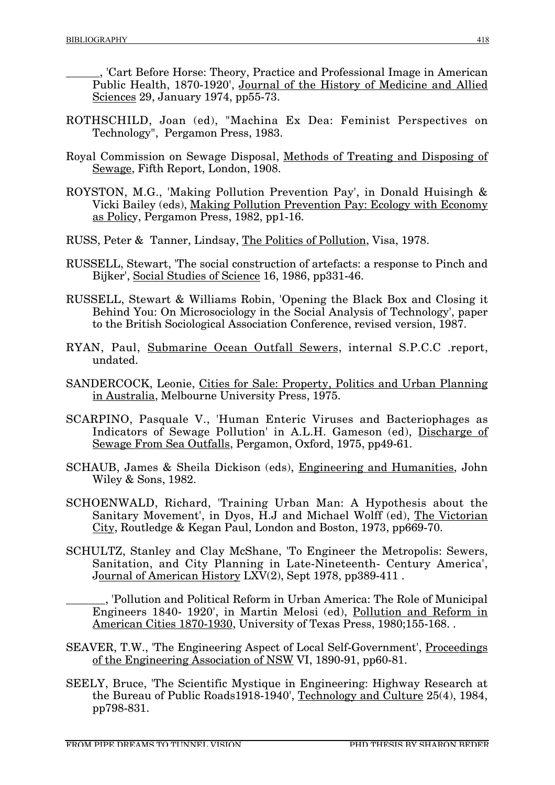\_\_\_\_\_\_, 'Cart Before Horse: Theory, Practice and Professional Image in American Public Health, 1870-1920', Journal of the History of Medicine and Allied Sciences 29, January 1974, pp55-73.

- ROTHSCHILD, Joan (ed), "Machina Ex Dea: Feminist Perspectives on Technology", Pergamon Press, 1983.
- Royal Commission on Sewage Disposal, Methods of Treating and Disposing of Sewage, Fifth Report, London, 1908.
- ROYSTON, M.G., 'Making Pollution Prevention Pay', in Donald Huisingh & Vicki Bailey (eds), Making Pollution Prevention Pay: Ecology with Economy as Policy, Pergamon Press, 1982, pp1-16.
- RUSS, Peter & Tanner, Lindsay, The Politics of Pollution, Visa, 1978.
- RUSSELL, Stewart, 'The social construction of artefacts: a response to Pinch and Bijker', Social Studies of Science 16, 1986, pp331-46.
- RUSSELL, Stewart & Williams Robin, 'Opening the Black Box and Closing it Behind You: On Microsociology in the Social Analysis of Technology', paper to the British Sociological Association Conference, revised version, 1987.
- RYAN, Paul, Submarine Ocean Outfall Sewers, internal S.P.C.C .report, undated.
- SANDERCOCK, Leonie, Cities for Sale: Property, Politics and Urban Planning in Australia, Melbourne University Press, 1975.
- SCARPINO, Pasquale V., 'Human Enteric Viruses and Bacteriophages as Indicators of Sewage Pollution' in A.L.H. Gameson (ed), Discharge of Sewage From Sea Outfalls, Pergamon, Oxford, 1975, pp49-61.
- SCHAUB, James & Sheila Dickison (eds), Engineering and Humanities, John Wiley & Sons, 1982.
- SCHOENWALD, Richard, 'Training Urban Man: A Hypothesis about the Sanitary Movement', in Dyos, H.J and Michael Wolff (ed), The Victorian City, Routledge & Kegan Paul, London and Boston, 1973, pp669-70.
- SCHULTZ, Stanley and Clay McShane, 'To Engineer the Metropolis: Sewers, Sanitation, and City Planning in Late-Nineteenth- Century America', Journal of American History LXV(2), Sept 1978, pp389-411 .

\_\_\_\_\_\_\_, 'Pollution and Political Reform in Urban America: The Role of Municipal Engineers 1840- 1920', in Martin Melosi (ed), Pollution and Reform in American Cities 1870-1930, University of Texas Press, 1980;155-168. .

- SEAVER, T.W., 'The Engineering Aspect of Local Self-Government', Proceedings of the Engineering Association of NSW VI, 1890-91, pp60-81.
- SEELY, Bruce, 'The Scientific Mystique in Engineering: Highway Research at the Bureau of Public Roads1918-1940', Technology and Culture 25(4), 1984, pp798-831.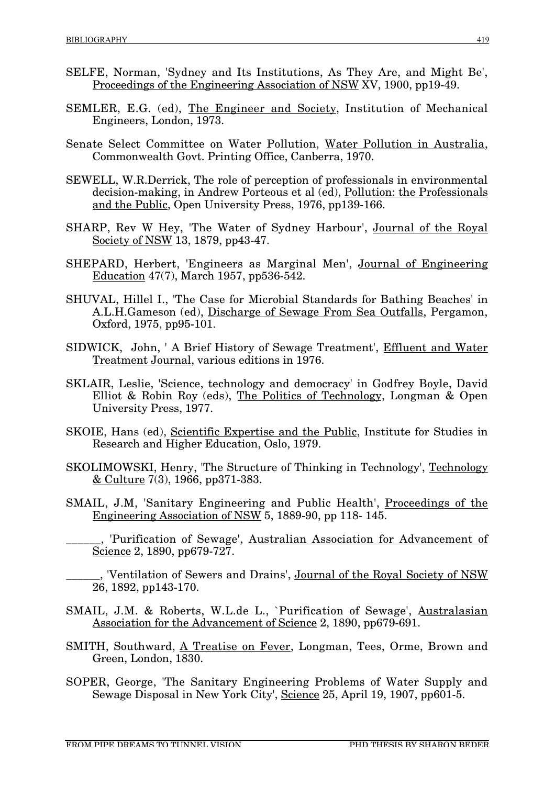- SELFE, Norman, 'Sydney and Its Institutions, As They Are, and Might Be', Proceedings of the Engineering Association of NSW XV, 1900, pp19-49.
- SEMLER, E.G. (ed), The Engineer and Society, Institution of Mechanical Engineers, London, 1973.
- Senate Select Committee on Water Pollution, Water Pollution in Australia, Commonwealth Govt. Printing Office, Canberra, 1970.
- SEWELL, W.R.Derrick, The role of perception of professionals in environmental decision-making, in Andrew Porteous et al (ed), Pollution: the Professionals and the Public, Open University Press, 1976, pp139-166.
- SHARP, Rev W Hey, 'The Water of Sydney Harbour', Journal of the Royal Society of NSW 13, 1879, pp43-47.
- SHEPARD, Herbert, 'Engineers as Marginal Men', Journal of Engineering Education 47(7), March 1957, pp536-542.
- SHUVAL, Hillel I., 'The Case for Microbial Standards for Bathing Beaches' in A.L.H.Gameson (ed), Discharge of Sewage From Sea Outfalls, Pergamon, Oxford, 1975, pp95-101.
- SIDWICK, John, ' A Brief History of Sewage Treatment', Effluent and Water Treatment Journal, various editions in 1976.
- SKLAIR, Leslie, 'Science, technology and democracy' in Godfrey Boyle, David Elliot & Robin Roy (eds), The Politics of Technology, Longman & Open University Press, 1977.
- SKOIE, Hans (ed), Scientific Expertise and the Public, Institute for Studies in Research and Higher Education, Oslo, 1979.
- SKOLIMOWSKI, Henry, 'The Structure of Thinking in Technology', Technology  $&$  Culture 7(3), 1966, pp371-383.
- SMAIL, J.M, 'Sanitary Engineering and Public Health', Proceedings of the Engineering Association of NSW 5, 1889-90, pp 118- 145.
- 'Purification of Sewage', Australian Association for Advancement of Science 2, 1890, pp679-727.
- ., 'Ventilation of Sewers and Drains', Journal of the Royal Society of NSW 26, 1892, pp143-170.
- SMAIL, J.M. & Roberts, W.L.de L., `Purification of Sewage', Australasian Association for the Advancement of Science 2, 1890, pp679-691.
- SMITH, Southward, A Treatise on Fever, Longman, Tees, Orme, Brown and Green, London, 1830.
- SOPER, George, 'The Sanitary Engineering Problems of Water Supply and Sewage Disposal in New York City', Science 25, April 19, 1907, pp601-5.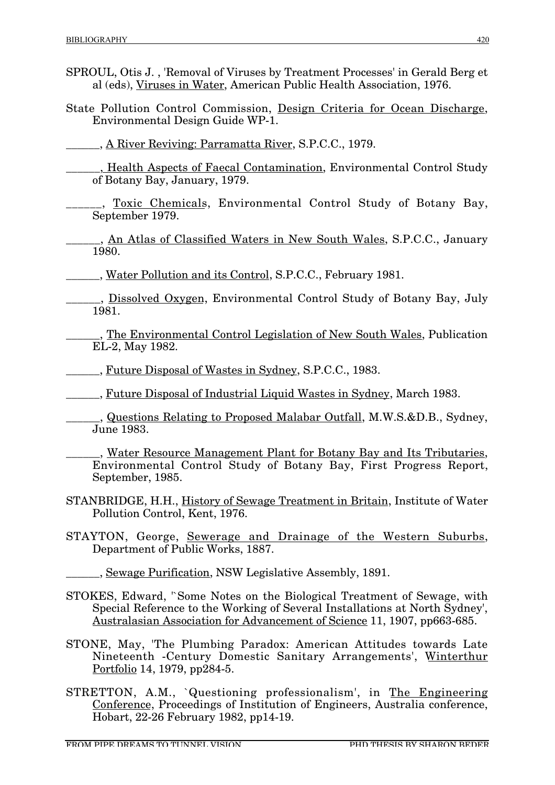- SPROUL, Otis J. , 'Removal of Viruses by Treatment Processes' in Gerald Berg et al (eds), Viruses in Water, American Public Health Association, 1976.
- State Pollution Control Commission, Design Criteria for Ocean Discharge, Environmental Design Guide WP-1.

\_\_\_\_\_\_, A River Reviving: Parramatta River, S.P.C.C., 1979.

- \_\_\_\_\_\_, Health Aspects of Faecal Contamination, Environmental Control Study of Botany Bay, January, 1979.
- \_\_, Toxic Chemicals, Environmental Control Study of Botany Bay, September 1979.
- <sub>\_</sub>, <u>An Atlas of Classified Waters in New South Wales,</u> S.P.C.C., January 1980.
- \_\_\_\_\_\_, Water Pollution and its Control, S.P.C.C., February 1981.
	- \_\_\_\_\_\_, Dissolved Oxygen, Environmental Control Study of Botany Bay, July 1981.
		- \_\_\_\_\_\_, The Environmental Control Legislation of New South Wales, Publication EL-2, May 1982.

\_\_\_\_\_\_, Future Disposal of Wastes in Sydney, S.P.C.C., 1983.

\_\_\_\_\_\_, Future Disposal of Industrial Liquid Wastes in Sydney, March 1983.

., Questions Relating to Proposed Malabar Outfall, M.W.S.&D.B., Sydney, June 1983.

\_\_\_\_\_\_, Water Resource Management Plant for Botany Bay and Its Tributaries, Environmental Control Study of Botany Bay, First Progress Report, September, 1985.

- STANBRIDGE, H.H., History of Sewage Treatment in Britain, Institute of Water Pollution Control, Kent, 1976.
- STAYTON, George, Sewerage and Drainage of the Western Suburbs, Department of Public Works, 1887.
	- **EXECUTE:** Sewage Purification, NSW Legislative Assembly, 1891.
- STOKES, Edward, '`Some Notes on the Biological Treatment of Sewage. with Special Reference to the Working of Several Installations at North Sydney', Australasian Association for Advancement of Science 11, 1907, pp663-685.
- STONE, May, 'The Plumbing Paradox: American Attitudes towards Late Nineteenth -Century Domestic Sanitary Arrangements', Winterthur Portfolio 14, 1979, pp284-5.
- STRETTON, A.M., `Questioning professionalism', in The Engineering Conference, Proceedings of Institution of Engineers, Australia conference, Hobart, 22-26 February 1982, pp14-19.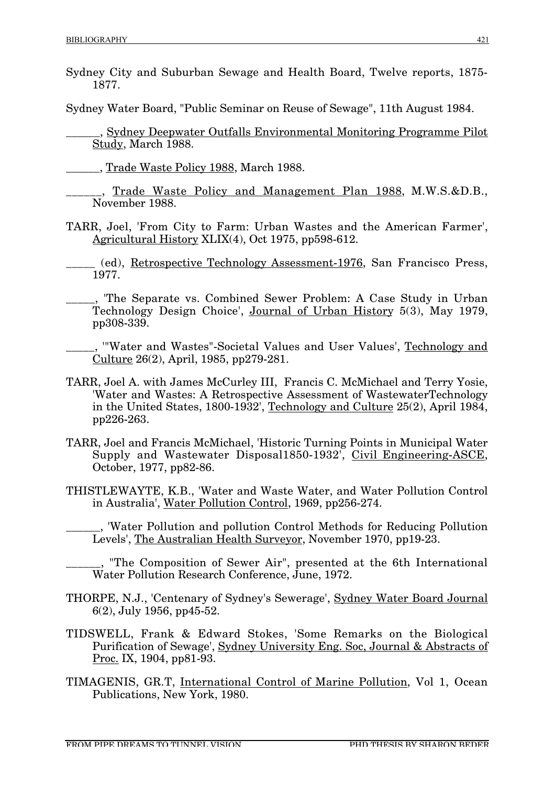Sydney City and Suburban Sewage and Health Board, Twelve reports, 1875- 1877.

Sydney Water Board, "Public Seminar on Reuse of Sewage", 11th August 1984.

\_\_\_\_\_\_, Sydney Deepwater Outfalls Environmental Monitoring Programme Pilot Study, March 1988.

\_\_\_\_\_\_, Trade Waste Policy 1988, March 1988.

Trade Waste Policy and Management Plan 1988, M.W.S.&D.B., November 1988.

TARR, Joel, 'From City to Farm: Urban Wastes and the American Farmer', Agricultural History XLIX(4), Oct 1975, pp598-612.

\_\_\_\_\_ (ed), Retrospective Technology Assessment-1976, San Francisco Press, 1977.

\_\_\_\_\_, 'The Separate vs. Combined Sewer Problem: A Case Study in Urban Technology Design Choice', Journal of Urban History 5(3), May 1979, pp308-339.

\_\_\_\_\_, '"Water and Wastes"-Societal Values and User Values', Technology and Culture 26(2), April, 1985, pp279-281.

- TARR, Joel A. with James McCurley III, Francis C. McMichael and Terry Yosie, 'Water and Wastes: A Retrospective Assessment of WastewaterTechnology in the United States, 1800-1932', Technology and Culture 25(2), April 1984, pp226-263.
- TARR, Joel and Francis McMichael, 'Historic Turning Points in Municipal Water Supply and Wastewater Disposal1850-1932', Civil Engineering-ASCE, October, 1977, pp82-86.
- THISTLEWAYTE, K.B., 'Water and Waste Water, and Water Pollution Control in Australia', Water Pollution Control, 1969, pp256-274.

\_\_\_\_\_\_, 'Water Pollution and pollution Control Methods for Reducing Pollution Levels', The Australian Health Surveyor, November 1970, pp19-23.

\_\_\_\_\_\_, "The Composition of Sewer Air", presented at the 6th International Water Pollution Research Conference, June, 1972.

- THORPE, N.J., 'Centenary of Sydney's Sewerage', Sydney Water Board Journal 6(2), July 1956, pp45-52.
- TIDSWELL, Frank & Edward Stokes, 'Some Remarks on the Biological Purification of Sewage', Sydney University Eng. Soc, Journal & Abstracts of Proc. IX, 1904, pp81-93.
- TIMAGENIS, GR.T, International Control of Marine Pollution, Vol 1, Ocean Publications, New York, 1980.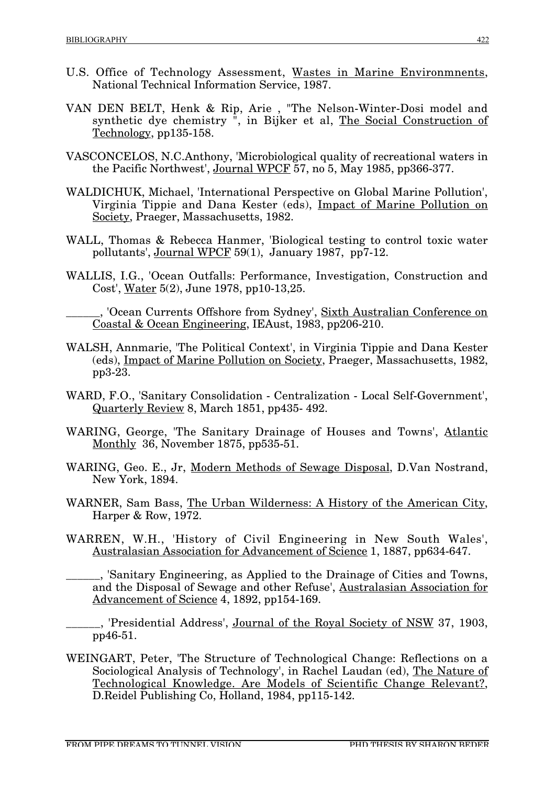- U.S. Office of Technology Assessment, Wastes in Marine Environmnents, National Technical Information Service, 1987.
- VAN DEN BELT, Henk & Rip, Arie , "The Nelson-Winter-Dosi model and synthetic dye chemistry ", in Bijker et al, The Social Construction of Technology, pp135-158.
- VASCONCELOS, N.C.Anthony, 'Microbiological quality of recreational waters in the Pacific Northwest', Journal WPCF 57, no 5, May 1985, pp366-377.
- WALDICHUK, Michael, 'International Perspective on Global Marine Pollution', Virginia Tippie and Dana Kester (eds), Impact of Marine Pollution on Society, Praeger, Massachusetts, 1982.
- WALL, Thomas & Rebecca Hanmer, 'Biological testing to control toxic water pollutants', Journal WPCF 59(1), January 1987, pp7-12.
- WALLIS, I.G., 'Ocean Outfalls: Performance, Investigation, Construction and Cost', Water 5(2), June 1978, pp10-13,25.

. 'Ocean Currents Offshore from Sydney', Sixth Australian Conference on Coastal & Ocean Engineering, IEAust, 1983, pp206-210.

- WALSH, Annmarie, 'The Political Context', in Virginia Tippie and Dana Kester (eds), Impact of Marine Pollution on Society, Praeger, Massachusetts, 1982, pp3-23.
- WARD, F.O., 'Sanitary Consolidation Centralization Local Self-Government', Quarterly Review 8, March 1851, pp435- 492.
- WARING, George, 'The Sanitary Drainage of Houses and Towns', Atlantic Monthly 36, November 1875, pp535-51.
- WARING, Geo. E., Jr, Modern Methods of Sewage Disposal, D.Van Nostrand, New York, 1894.
- WARNER, Sam Bass, The Urban Wilderness: A History of the American City, Harper & Row, 1972.
- WARREN, W.H., 'History of Civil Engineering in New South Wales', Australasian Association for Advancement of Science 1, 1887, pp634-647.
- \_\_\_\_\_\_, 'Sanitary Engineering, as Applied to the Drainage of Cities and Towns, and the Disposal of Sewage and other Refuse', Australasian Association for Advancement of Science 4, 1892, pp154-169.
- <sub>\_,</sub> 'Presidential Address', <u>Journal of the Royal Society of NSW</u> 37, 1903, pp46-51.
- WEINGART, Peter, 'The Structure of Technological Change: Reflections on a Sociological Analysis of Technology', in Rachel Laudan (ed), The Nature of Technological Knowledge. Are Models of Scientific Change Relevant?, D.Reidel Publishing Co, Holland, 1984, pp115-142.